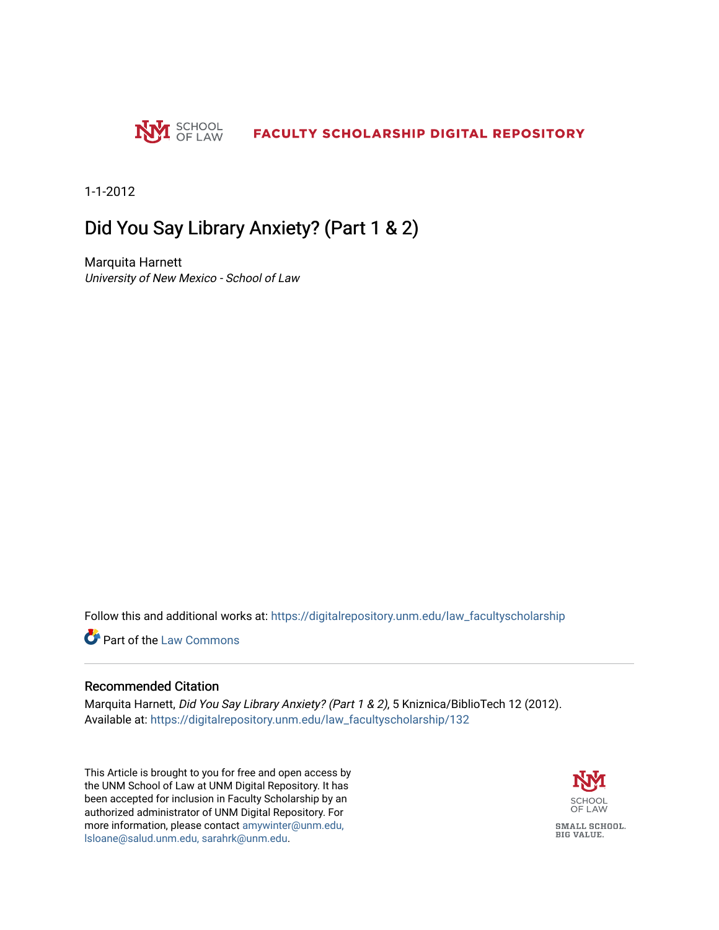

1-1-2012

### Did You Say Library Anxiety? (Part 1 & 2)

Marquita Harnett University of New Mexico - School of Law

Follow this and additional works at: [https://digitalrepository.unm.edu/law\\_facultyscholarship](https://digitalrepository.unm.edu/law_facultyscholarship?utm_source=digitalrepository.unm.edu%2Flaw_facultyscholarship%2F132&utm_medium=PDF&utm_campaign=PDFCoverPages) 

**C** Part of the [Law Commons](http://network.bepress.com/hgg/discipline/578?utm_source=digitalrepository.unm.edu%2Flaw_facultyscholarship%2F132&utm_medium=PDF&utm_campaign=PDFCoverPages)

#### Recommended Citation

Marquita Harnett, Did You Say Library Anxiety? (Part 1 & 2), 5 Kniznica/BiblioTech 12 (2012). Available at: [https://digitalrepository.unm.edu/law\\_facultyscholarship/132](https://digitalrepository.unm.edu/law_facultyscholarship/132?utm_source=digitalrepository.unm.edu%2Flaw_facultyscholarship%2F132&utm_medium=PDF&utm_campaign=PDFCoverPages) 

This Article is brought to you for free and open access by the UNM School of Law at UNM Digital Repository. It has been accepted for inclusion in Faculty Scholarship by an authorized administrator of UNM Digital Repository. For more information, please contact [amywinter@unm.edu,](mailto:amywinter@unm.edu,%20lsloane@salud.unm.edu,%20sarahrk@unm.edu)  [lsloane@salud.unm.edu, sarahrk@unm.edu.](mailto:amywinter@unm.edu,%20lsloane@salud.unm.edu,%20sarahrk@unm.edu)

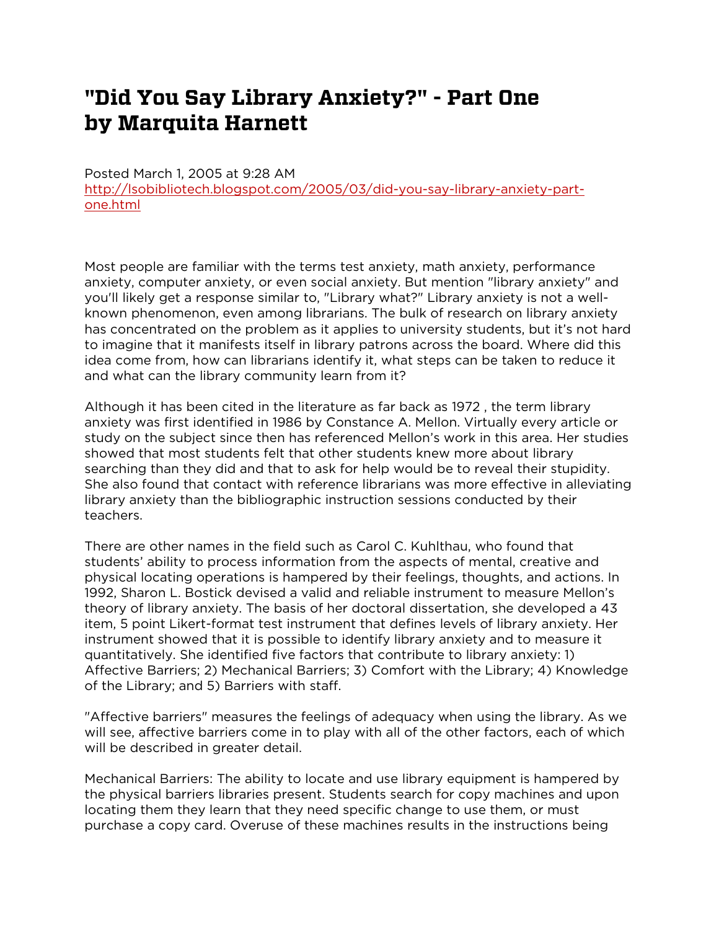# **"Did You Say Library Anxiety?" - Part One by Marquita Harnett**

Posted March 1, 2005 at 9:28 AM [http://lsobibliotech.blogspot.com/2005/03/did-you-say-library-anxiety-part](http://lsobibliotech.blogspot.com/2005/03/did-you-say-library-anxiety-part-one.html)[one.html](http://lsobibliotech.blogspot.com/2005/03/did-you-say-library-anxiety-part-one.html)

Most people are familiar with the terms test anxiety, math anxiety, performance anxiety, computer anxiety, or even social anxiety. But mention "library anxiety" and you'll likely get a response similar to, "Library what?" Library anxiety is not a wellknown phenomenon, even among librarians. The bulk of research on library anxiety has concentrated on the problem as it applies to university students, but it's not hard to imagine that it manifests itself in library patrons across the board. Where did this idea come from, how can librarians identify it, what steps can be taken to reduce it and what can the library community learn from it?

Although it has been cited in the literature as far back as 1972 , the term library anxiety was first identified in 1986 by Constance A. Mellon. Virtually every article or study on the subject since then has referenced Mellon's work in this area. Her studies showed that most students felt that other students knew more about library searching than they did and that to ask for help would be to reveal their stupidity. She also found that contact with reference librarians was more effective in alleviating library anxiety than the bibliographic instruction sessions conducted by their teachers.

There are other names in the field such as Carol C. Kuhlthau, who found that students' ability to process information from the aspects of mental, creative and physical locating operations is hampered by their feelings, thoughts, and actions. In 1992, Sharon L. Bostick devised a valid and reliable instrument to measure Mellon's theory of library anxiety. The basis of her doctoral dissertation, she developed a 43 item, 5 point Likert-format test instrument that defines levels of library anxiety. Her instrument showed that it is possible to identify library anxiety and to measure it quantitatively. She identified five factors that contribute to library anxiety: 1) Affective Barriers; 2) Mechanical Barriers; 3) Comfort with the Library; 4) Knowledge of the Library; and 5) Barriers with staff.

"Affective barriers" measures the feelings of adequacy when using the library. As we will see, affective barriers come in to play with all of the other factors, each of which will be described in greater detail.

Mechanical Barriers: The ability to locate and use library equipment is hampered by the physical barriers libraries present. Students search for copy machines and upon locating them they learn that they need specific change to use them, or must purchase a copy card. Overuse of these machines results in the instructions being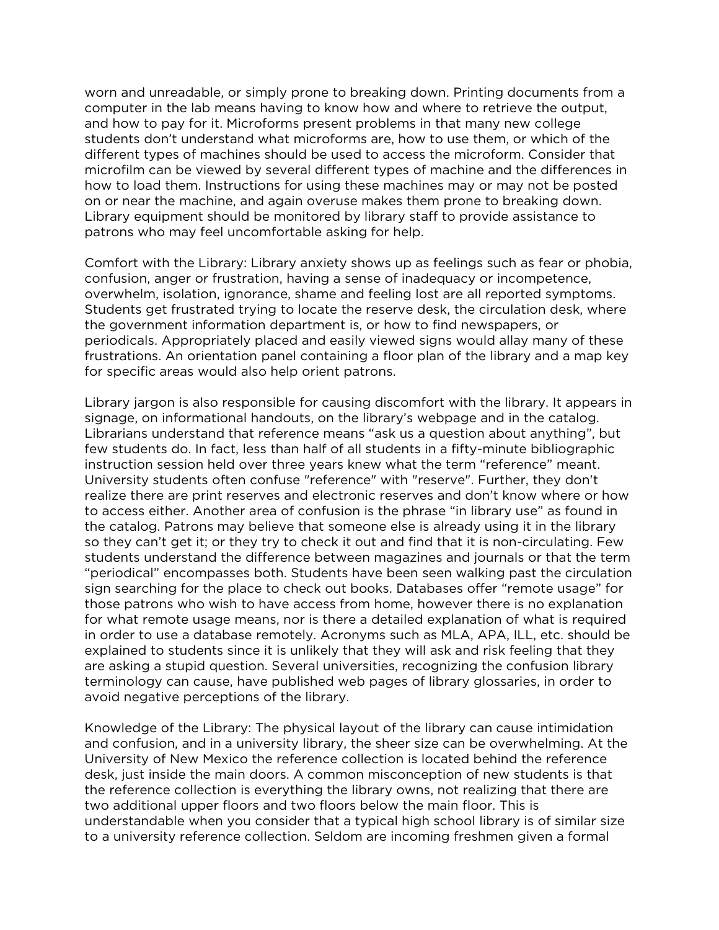worn and unreadable, or simply prone to breaking down. Printing documents from a computer in the lab means having to know how and where to retrieve the output, and how to pay for it. Microforms present problems in that many new college students don't understand what microforms are, how to use them, or which of the different types of machines should be used to access the microform. Consider that microfilm can be viewed by several different types of machine and the differences in how to load them. Instructions for using these machines may or may not be posted on or near the machine, and again overuse makes them prone to breaking down. Library equipment should be monitored by library staff to provide assistance to patrons who may feel uncomfortable asking for help.

Comfort with the Library: Library anxiety shows up as feelings such as fear or phobia, confusion, anger or frustration, having a sense of inadequacy or incompetence, overwhelm, isolation, ignorance, shame and feeling lost are all reported symptoms. Students get frustrated trying to locate the reserve desk, the circulation desk, where the government information department is, or how to find newspapers, or periodicals. Appropriately placed and easily viewed signs would allay many of these frustrations. An orientation panel containing a floor plan of the library and a map key for specific areas would also help orient patrons.

Library jargon is also responsible for causing discomfort with the library. It appears in signage, on informational handouts, on the library's webpage and in the catalog. Librarians understand that reference means "ask us a question about anything", but few students do. In fact, less than half of all students in a fifty-minute bibliographic instruction session held over three years knew what the term "reference" meant. University students often confuse "reference" with "reserve". Further, they don't realize there are print reserves and electronic reserves and don't know where or how to access either. Another area of confusion is the phrase "in library use" as found in the catalog. Patrons may believe that someone else is already using it in the library so they can't get it; or they try to check it out and find that it is non-circulating. Few students understand the difference between magazines and journals or that the term "periodical" encompasses both. Students have been seen walking past the circulation sign searching for the place to check out books. Databases offer "remote usage" for those patrons who wish to have access from home, however there is no explanation for what remote usage means, nor is there a detailed explanation of what is required in order to use a database remotely. Acronyms such as MLA, APA, ILL, etc. should be explained to students since it is unlikely that they will ask and risk feeling that they are asking a stupid question. Several universities, recognizing the confusion library terminology can cause, have published web pages of library glossaries, in order to avoid negative perceptions of the library.

Knowledge of the Library: The physical layout of the library can cause intimidation and confusion, and in a university library, the sheer size can be overwhelming. At the University of New Mexico the reference collection is located behind the reference desk, just inside the main doors. A common misconception of new students is that the reference collection is everything the library owns, not realizing that there are two additional upper floors and two floors below the main floor. This is understandable when you consider that a typical high school library is of similar size to a university reference collection. Seldom are incoming freshmen given a formal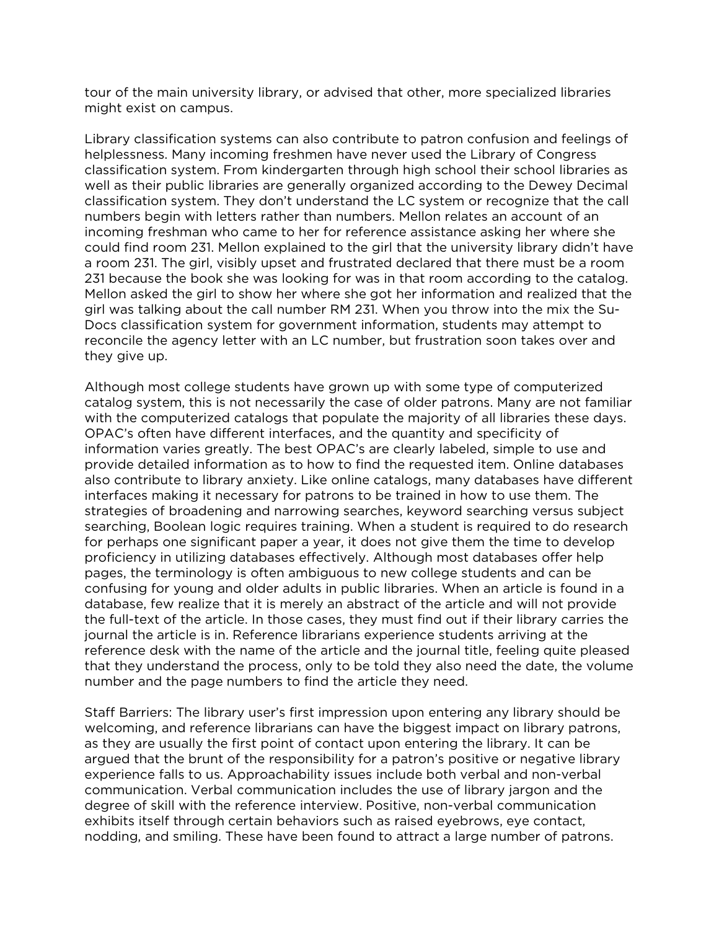tour of the main university library, or advised that other, more specialized libraries might exist on campus.

Library classification systems can also contribute to patron confusion and feelings of helplessness. Many incoming freshmen have never used the Library of Congress classification system. From kindergarten through high school their school libraries as well as their public libraries are generally organized according to the Dewey Decimal classification system. They don't understand the LC system or recognize that the call numbers begin with letters rather than numbers. Mellon relates an account of an incoming freshman who came to her for reference assistance asking her where she could find room 231. Mellon explained to the girl that the university library didn't have a room 231. The girl, visibly upset and frustrated declared that there must be a room 231 because the book she was looking for was in that room according to the catalog. Mellon asked the girl to show her where she got her information and realized that the girl was talking about the call number RM 231. When you throw into the mix the Su-Docs classification system for government information, students may attempt to reconcile the agency letter with an LC number, but frustration soon takes over and they give up.

Although most college students have grown up with some type of computerized catalog system, this is not necessarily the case of older patrons. Many are not familiar with the computerized catalogs that populate the majority of all libraries these days. OPAC's often have different interfaces, and the quantity and specificity of information varies greatly. The best OPAC's are clearly labeled, simple to use and provide detailed information as to how to find the requested item. Online databases also contribute to library anxiety. Like online catalogs, many databases have different interfaces making it necessary for patrons to be trained in how to use them. The strategies of broadening and narrowing searches, keyword searching versus subject searching, Boolean logic requires training. When a student is required to do research for perhaps one significant paper a year, it does not give them the time to develop proficiency in utilizing databases effectively. Although most databases offer help pages, the terminology is often ambiguous to new college students and can be confusing for young and older adults in public libraries. When an article is found in a database, few realize that it is merely an abstract of the article and will not provide the full-text of the article. In those cases, they must find out if their library carries the journal the article is in. Reference librarians experience students arriving at the reference desk with the name of the article and the journal title, feeling quite pleased that they understand the process, only to be told they also need the date, the volume number and the page numbers to find the article they need.

Staff Barriers: The library user's first impression upon entering any library should be welcoming, and reference librarians can have the biggest impact on library patrons, as they are usually the first point of contact upon entering the library. It can be argued that the brunt of the responsibility for a patron's positive or negative library experience falls to us. Approachability issues include both verbal and non-verbal communication. Verbal communication includes the use of library jargon and the degree of skill with the reference interview. Positive, non-verbal communication exhibits itself through certain behaviors such as raised eyebrows, eye contact, nodding, and smiling. These have been found to attract a large number of patrons.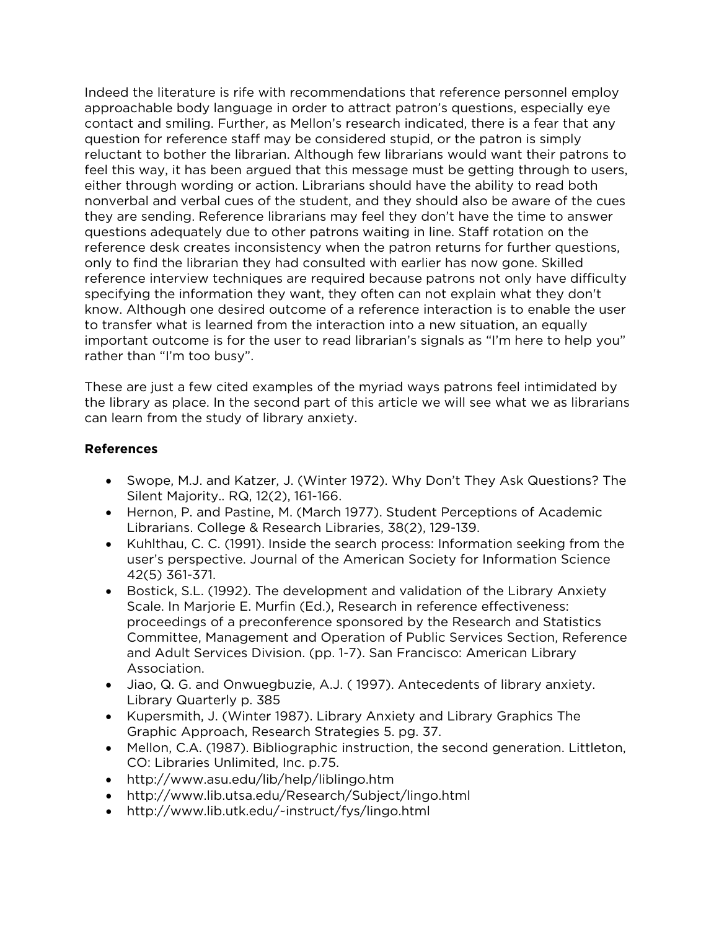Indeed the literature is rife with recommendations that reference personnel employ approachable body language in order to attract patron's questions, especially eye contact and smiling. Further, as Mellon's research indicated, there is a fear that any question for reference staff may be considered stupid, or the patron is simply reluctant to bother the librarian. Although few librarians would want their patrons to feel this way, it has been argued that this message must be getting through to users, either through wording or action. Librarians should have the ability to read both nonverbal and verbal cues of the student, and they should also be aware of the cues they are sending. Reference librarians may feel they don't have the time to answer questions adequately due to other patrons waiting in line. Staff rotation on the reference desk creates inconsistency when the patron returns for further questions, only to find the librarian they had consulted with earlier has now gone. Skilled reference interview techniques are required because patrons not only have difficulty specifying the information they want, they often can not explain what they don't know. Although one desired outcome of a reference interaction is to enable the user to transfer what is learned from the interaction into a new situation, an equally important outcome is for the user to read librarian's signals as "I'm here to help you" rather than "I'm too busy".

These are just a few cited examples of the myriad ways patrons feel intimidated by the library as place. In the second part of this article we will see what we as librarians can learn from the study of library anxiety.

#### **References**

- Swope, M.J. and Katzer, J. (Winter 1972). Why Don't They Ask Questions? The Silent Majority.. RQ, 12(2), 161-166.
- Hernon, P. and Pastine, M. (March 1977). Student Perceptions of Academic Librarians. College & Research Libraries, 38(2), 129-139.
- Kuhlthau, C. C. (1991). Inside the search process: Information seeking from the user's perspective. Journal of the American Society for Information Science 42(5) 361-371.
- Bostick, S.L. (1992). The development and validation of the Library Anxiety Scale. In Marjorie E. Murfin (Ed.), Research in reference effectiveness: proceedings of a preconference sponsored by the Research and Statistics Committee, Management and Operation of Public Services Section, Reference and Adult Services Division. (pp. 1-7). San Francisco: American Library Association.
- Jiao, Q. G. and Onwuegbuzie, A.J. ( 1997). Antecedents of library anxiety. Library Quarterly p. 385
- Kupersmith, J. (Winter 1987). Library Anxiety and Library Graphics The Graphic Approach, Research Strategies 5. pg. 37.
- Mellon, C.A. (1987). Bibliographic instruction, the second generation. Littleton, CO: Libraries Unlimited, Inc. p.75.
- http://www.asu.edu/lib/help/liblingo.htm
- http://www.lib.utsa.edu/Research/Subject/lingo.html
- http://www.lib.utk.edu/~instruct/fys/lingo.html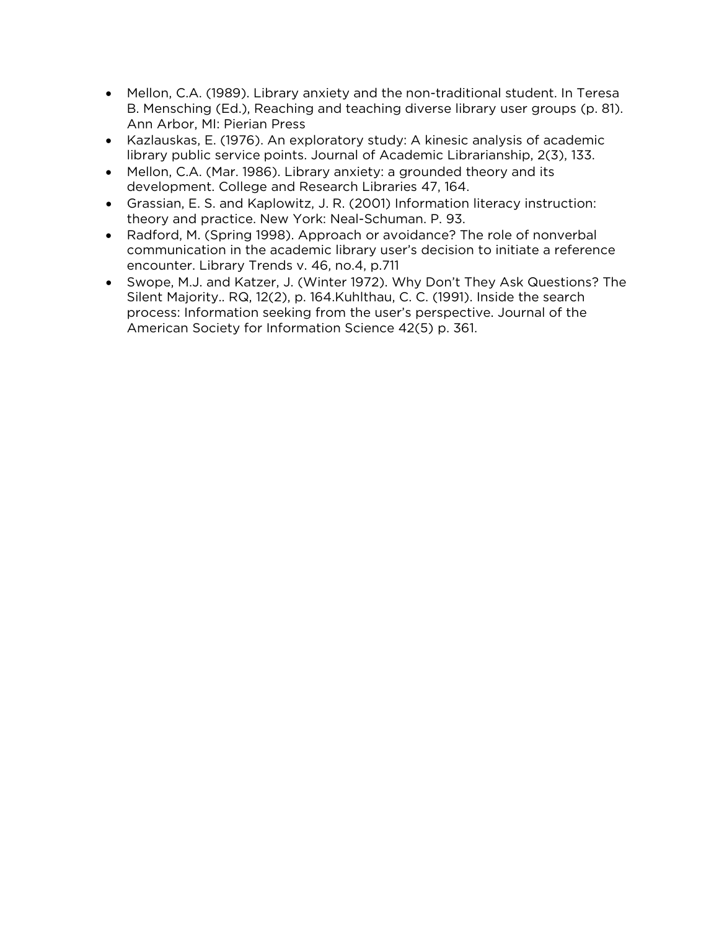- Mellon, C.A. (1989). Library anxiety and the non-traditional student. In Teresa B. Mensching (Ed.), Reaching and teaching diverse library user groups (p. 81). Ann Arbor, MI: Pierian Press
- Kazlauskas, E. (1976). An exploratory study: A kinesic analysis of academic library public service points. Journal of Academic Librarianship, 2(3), 133.
- Mellon, C.A. (Mar. 1986). Library anxiety: a grounded theory and its development. College and Research Libraries 47, 164.
- Grassian, E. S. and Kaplowitz, J. R. (2001) Information literacy instruction: theory and practice. New York: Neal-Schuman. P. 93.
- Radford, M. (Spring 1998). Approach or avoidance? The role of nonverbal communication in the academic library user's decision to initiate a reference encounter. Library Trends v. 46, no.4, p.711
- Swope, M.J. and Katzer, J. (Winter 1972). Why Don't They Ask Questions? The Silent Majority.. RQ, 12(2), p. 164.Kuhlthau, C. C. (1991). Inside the search process: Information seeking from the user's perspective. Journal of the American Society for Information Science 42(5) p. 361.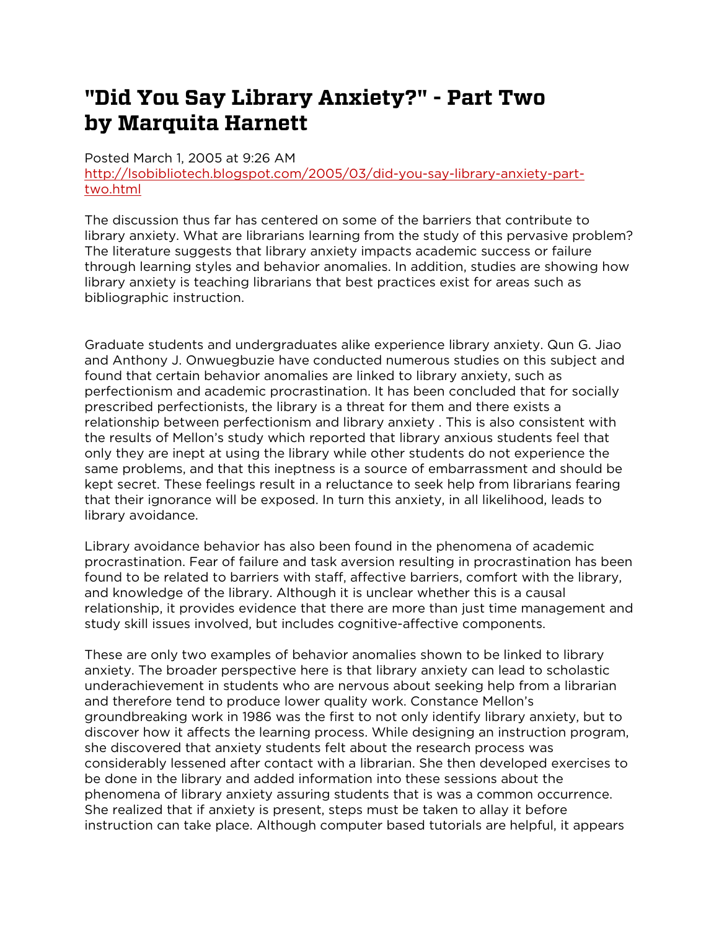# **"Did You Say Library Anxiety?" - Part Two by Marquita Harnett**

Posted March 1, 2005 at 9:26 AM

[http://lsobibliotech.blogspot.com/2005/03/did-you-say-library-anxiety-part](http://lsobibliotech.blogspot.com/2005/03/did-you-say-library-anxiety-part-two.html)[two.html](http://lsobibliotech.blogspot.com/2005/03/did-you-say-library-anxiety-part-two.html)

The discussion thus far has centered on some of the barriers that contribute to library anxiety. What are librarians learning from the study of this pervasive problem? The literature suggests that library anxiety impacts academic success or failure through learning styles and behavior anomalies. In addition, studies are showing how library anxiety is teaching librarians that best practices exist for areas such as bibliographic instruction.

Graduate students and undergraduates alike experience library anxiety. Qun G. Jiao and Anthony J. Onwuegbuzie have conducted numerous studies on this subject and found that certain behavior anomalies are linked to library anxiety, such as perfectionism and academic procrastination. It has been concluded that for socially prescribed perfectionists, the library is a threat for them and there exists a relationship between perfectionism and library anxiety . This is also consistent with the results of Mellon's study which reported that library anxious students feel that only they are inept at using the library while other students do not experience the same problems, and that this ineptness is a source of embarrassment and should be kept secret. These feelings result in a reluctance to seek help from librarians fearing that their ignorance will be exposed. In turn this anxiety, in all likelihood, leads to library avoidance.

Library avoidance behavior has also been found in the phenomena of academic procrastination. Fear of failure and task aversion resulting in procrastination has been found to be related to barriers with staff, affective barriers, comfort with the library, and knowledge of the library. Although it is unclear whether this is a causal relationship, it provides evidence that there are more than just time management and study skill issues involved, but includes cognitive-affective components.

These are only two examples of behavior anomalies shown to be linked to library anxiety. The broader perspective here is that library anxiety can lead to scholastic underachievement in students who are nervous about seeking help from a librarian and therefore tend to produce lower quality work. Constance Mellon's groundbreaking work in 1986 was the first to not only identify library anxiety, but to discover how it affects the learning process. While designing an instruction program, she discovered that anxiety students felt about the research process was considerably lessened after contact with a librarian. She then developed exercises to be done in the library and added information into these sessions about the phenomena of library anxiety assuring students that is was a common occurrence. She realized that if anxiety is present, steps must be taken to allay it before instruction can take place. Although computer based tutorials are helpful, it appears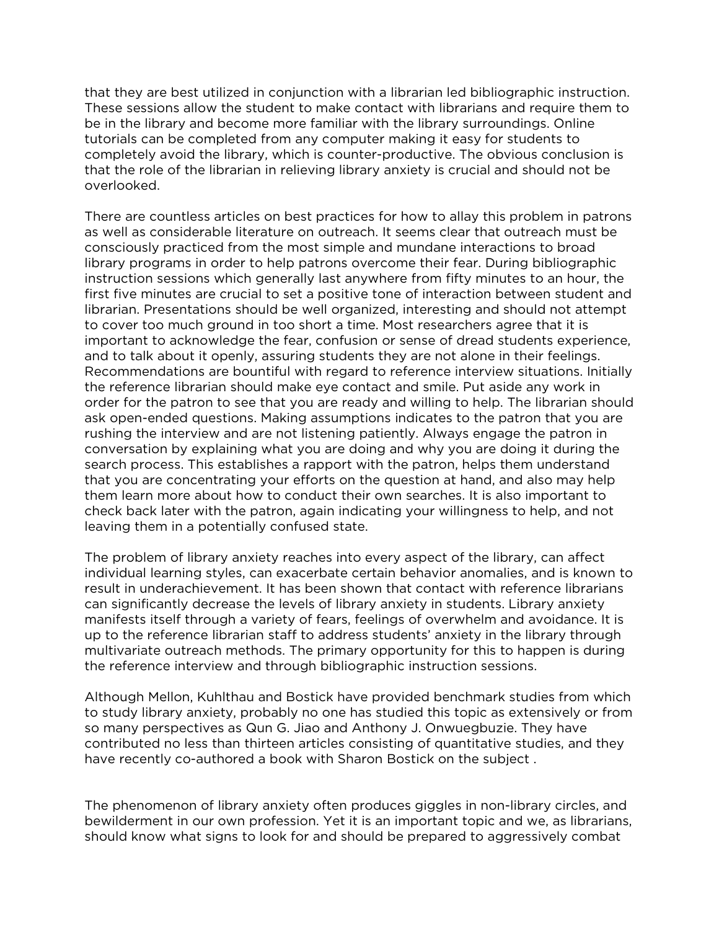that they are best utilized in conjunction with a librarian led bibliographic instruction. These sessions allow the student to make contact with librarians and require them to be in the library and become more familiar with the library surroundings. Online tutorials can be completed from any computer making it easy for students to completely avoid the library, which is counter-productive. The obvious conclusion is that the role of the librarian in relieving library anxiety is crucial and should not be overlooked.

There are countless articles on best practices for how to allay this problem in patrons as well as considerable literature on outreach. It seems clear that outreach must be consciously practiced from the most simple and mundane interactions to broad library programs in order to help patrons overcome their fear. During bibliographic instruction sessions which generally last anywhere from fifty minutes to an hour, the first five minutes are crucial to set a positive tone of interaction between student and librarian. Presentations should be well organized, interesting and should not attempt to cover too much ground in too short a time. Most researchers agree that it is important to acknowledge the fear, confusion or sense of dread students experience, and to talk about it openly, assuring students they are not alone in their feelings. Recommendations are bountiful with regard to reference interview situations. Initially the reference librarian should make eye contact and smile. Put aside any work in order for the patron to see that you are ready and willing to help. The librarian should ask open-ended questions. Making assumptions indicates to the patron that you are rushing the interview and are not listening patiently. Always engage the patron in conversation by explaining what you are doing and why you are doing it during the search process. This establishes a rapport with the patron, helps them understand that you are concentrating your efforts on the question at hand, and also may help them learn more about how to conduct their own searches. It is also important to check back later with the patron, again indicating your willingness to help, and not leaving them in a potentially confused state.

The problem of library anxiety reaches into every aspect of the library, can affect individual learning styles, can exacerbate certain behavior anomalies, and is known to result in underachievement. It has been shown that contact with reference librarians can significantly decrease the levels of library anxiety in students. Library anxiety manifests itself through a variety of fears, feelings of overwhelm and avoidance. It is up to the reference librarian staff to address students' anxiety in the library through multivariate outreach methods. The primary opportunity for this to happen is during the reference interview and through bibliographic instruction sessions.

Although Mellon, Kuhlthau and Bostick have provided benchmark studies from which to study library anxiety, probably no one has studied this topic as extensively or from so many perspectives as Qun G. Jiao and Anthony J. Onwuegbuzie. They have contributed no less than thirteen articles consisting of quantitative studies, and they have recently co-authored a book with Sharon Bostick on the subject .

The phenomenon of library anxiety often produces giggles in non-library circles, and bewilderment in our own profession. Yet it is an important topic and we, as librarians, should know what signs to look for and should be prepared to aggressively combat